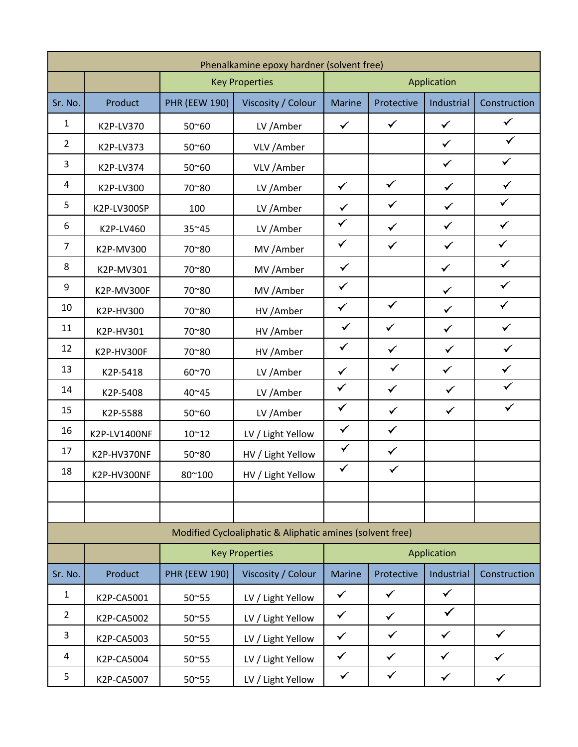| Phenalkamine epoxy hardner (solvent free)                 |              |                       |                       |               |              |              |              |  |
|-----------------------------------------------------------|--------------|-----------------------|-----------------------|---------------|--------------|--------------|--------------|--|
|                                                           |              |                       | <b>Key Properties</b> |               |              | Application  |              |  |
| Sr. No.                                                   | Product      | <b>PHR (EEW 190)</b>  | Viscosity / Colour    | <b>Marine</b> | Protective   | Industrial   | Construction |  |
| $\mathbf{1}$                                              | K2P-LV370    | 50~60                 | LV /Amber             | $\checkmark$  | $\checkmark$ | $\checkmark$ | $\checkmark$ |  |
| $\overline{2}$                                            | K2P-LV373    | 50~60                 | VLV / Amber           |               |              | $\checkmark$ | $\checkmark$ |  |
| 3                                                         | K2P-LV374    | 50~60                 | VLV / Amber           |               |              | $\checkmark$ | $\checkmark$ |  |
| 4                                                         | K2P-LV300    | 70~80                 | LV /Amber             | $\checkmark$  | $\checkmark$ | $\checkmark$ | $\checkmark$ |  |
| 5                                                         | K2P-LV300SP  | 100                   | LV /Amber             | $\checkmark$  | $\checkmark$ | $\checkmark$ | $\checkmark$ |  |
| 6                                                         | K2P-LV460    | 35~45                 | LV /Amber             | $\checkmark$  | $\checkmark$ | $\checkmark$ | $\checkmark$ |  |
| $\overline{7}$                                            | K2P-MV300    | 70~80                 | MV /Amber             | $\checkmark$  | $\checkmark$ | $\checkmark$ | $\checkmark$ |  |
| 8                                                         | K2P-MV301    | 70~80                 | MV /Amber             | $\checkmark$  |              | $\checkmark$ | $\checkmark$ |  |
| $9\,$                                                     | K2P-MV300F   | 70~80                 | MV /Amber             | $\checkmark$  |              | $\checkmark$ | $\checkmark$ |  |
| 10                                                        | K2P-HV300    | 70~80                 | HV / Amber            | $\checkmark$  | $\checkmark$ | $\checkmark$ | $\checkmark$ |  |
| 11                                                        | K2P-HV301    | 70~80                 | HV /Amber             | $\checkmark$  | $\checkmark$ | $\checkmark$ | $\checkmark$ |  |
| 12                                                        | K2P-HV300F   | 70~80                 | HV / Amber            | $\checkmark$  | $\checkmark$ | $\checkmark$ | $\checkmark$ |  |
| 13                                                        | K2P-5418     | 60~70                 | LV / Amber            | $\checkmark$  | $\checkmark$ | $\checkmark$ | $\checkmark$ |  |
| 14                                                        | K2P-5408     | 40~45                 | LV /Amber             | $\checkmark$  | $\checkmark$ | $\checkmark$ | ✓            |  |
| 15                                                        | K2P-5588     | 50~60                 | LV /Amber             | $\checkmark$  | $\checkmark$ | $\checkmark$ | $\checkmark$ |  |
| 16                                                        | K2P-LV1400NF | $10^{\sim}12$         | LV / Light Yellow     | $\checkmark$  | $\checkmark$ |              |              |  |
| 17                                                        | K2P-HV370NF  | 50~80                 | HV / Light Yellow     | $\checkmark$  | $\checkmark$ |              |              |  |
| 18                                                        | K2P-HV300NF  | 80~100                | HV / Light Yellow     | $\checkmark$  | $\checkmark$ |              |              |  |
|                                                           |              |                       |                       |               |              |              |              |  |
|                                                           |              |                       |                       |               |              |              |              |  |
| Modified Cycloaliphatic & Aliphatic amines (solvent free) |              |                       |                       |               |              |              |              |  |
|                                                           |              | <b>Key Properties</b> |                       | Application   |              |              |              |  |
| Sr. No.                                                   | Product      | <b>PHR (EEW 190)</b>  | Viscosity / Colour    | <b>Marine</b> | Protective   | Industrial   | Construction |  |
| $\mathbf{1}$                                              | K2P-CA5001   | 50~55                 | LV / Light Yellow     | $\checkmark$  | $\checkmark$ | $\checkmark$ |              |  |
| $\overline{2}$                                            | K2P-CA5002   | 50~55                 | LV / Light Yellow     | $\checkmark$  | $\checkmark$ | $\checkmark$ |              |  |
| 3                                                         | K2P-CA5003   | 50~55                 | LV / Light Yellow     | $\checkmark$  | $\checkmark$ | $\checkmark$ | $\checkmark$ |  |
| $\overline{4}$                                            | K2P-CA5004   | 50~55                 | LV / Light Yellow     | $\checkmark$  | $\checkmark$ | $\checkmark$ | ✓            |  |
| 5                                                         | K2P-CA5007   | $50^{\circ}55$        | LV / Light Yellow     | $\checkmark$  | $\checkmark$ | $\checkmark$ | $\checkmark$ |  |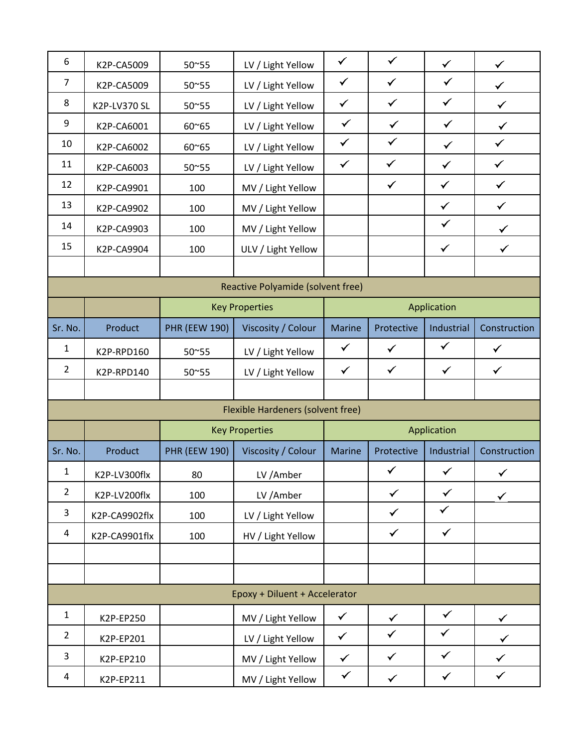| 6                                 | K2P-CA5009    | 50~55                 | LV / Light Yellow                 | $\checkmark$  | $\checkmark$ | $\checkmark$ | $\checkmark$ |  |  |
|-----------------------------------|---------------|-----------------------|-----------------------------------|---------------|--------------|--------------|--------------|--|--|
| $\overline{7}$                    | K2P-CA5009    | 50~55                 | LV / Light Yellow                 | $\checkmark$  | $\checkmark$ | $\checkmark$ | $\checkmark$ |  |  |
| 8                                 | K2P-LV370 SL  | 50~55                 | LV / Light Yellow                 | $\checkmark$  | $\checkmark$ | $\checkmark$ | $\checkmark$ |  |  |
| $\boldsymbol{9}$                  | K2P-CA6001    | 60~65                 | LV / Light Yellow                 | $\checkmark$  | $\checkmark$ | $\checkmark$ | ✓            |  |  |
| 10                                | K2P-CA6002    | 60~65                 | LV / Light Yellow                 | $\checkmark$  | $\checkmark$ | $\checkmark$ | $\checkmark$ |  |  |
| 11                                | K2P-CA6003    | 50~55                 | LV / Light Yellow                 | $\checkmark$  | $\checkmark$ | $\checkmark$ | $\checkmark$ |  |  |
| 12                                | K2P-CA9901    | 100                   | MV / Light Yellow                 |               | $\checkmark$ | $\checkmark$ | $\checkmark$ |  |  |
| 13                                | K2P-CA9902    | 100                   | MV / Light Yellow                 |               |              | $\checkmark$ | $\checkmark$ |  |  |
| 14                                | K2P-CA9903    | 100                   | MV / Light Yellow                 |               |              | $\checkmark$ | ✓            |  |  |
| 15                                | K2P-CA9904    | 100                   | ULV / Light Yellow                |               |              | $\checkmark$ | ✓            |  |  |
|                                   |               |                       |                                   |               |              |              |              |  |  |
| Reactive Polyamide (solvent free) |               |                       |                                   |               |              |              |              |  |  |
|                                   |               | <b>Key Properties</b> |                                   | Application   |              |              |              |  |  |
| Sr. No.                           | Product       | <b>PHR (EEW 190)</b>  | Viscosity / Colour                | <b>Marine</b> | Protective   | Industrial   | Construction |  |  |
| $\mathbf 1$                       | K2P-RPD160    | 50~55                 | LV / Light Yellow                 | $\checkmark$  | $\checkmark$ | $\checkmark$ | $\checkmark$ |  |  |
| $\overline{2}$                    | K2P-RPD140    | 50~55                 | LV / Light Yellow                 | $\checkmark$  | $\checkmark$ | $\checkmark$ | $\checkmark$ |  |  |
|                                   |               |                       |                                   |               |              |              |              |  |  |
|                                   |               |                       | Flexible Hardeners (solvent free) |               |              |              |              |  |  |
|                                   |               | <b>Key Properties</b> |                                   | Application   |              |              |              |  |  |
| Sr. No.                           | Product       | <b>PHR (EEW 190)</b>  | Viscosity / Colour                | <b>Marine</b> | Protective   | Industrial   | Construction |  |  |
| $\mathbf{1}$                      | K2P-LV300flx  | 80                    | LV /Amber                         |               | $\checkmark$ | $\checkmark$ | $\checkmark$ |  |  |
| $\overline{2}$                    | K2P-LV200flx  | 100                   | LV /Amber                         |               | $\checkmark$ | $\checkmark$ | $\checkmark$ |  |  |
| $\overline{3}$                    | K2P-CA9902flx | 100                   | LV / Light Yellow                 |               | $\checkmark$ | $\checkmark$ |              |  |  |
| $\overline{a}$                    | K2P-CA9901flx | 100                   | HV / Light Yellow                 |               | $\checkmark$ | $\checkmark$ |              |  |  |
|                                   |               |                       |                                   |               |              |              |              |  |  |
|                                   |               |                       |                                   |               |              |              |              |  |  |
| Epoxy + Diluent + Accelerator     |               |                       |                                   |               |              |              |              |  |  |
| $\mathbf{1}$                      | K2P-EP250     |                       | MV / Light Yellow                 | $\checkmark$  | $\checkmark$ | $\checkmark$ |              |  |  |
| $\overline{2}$                    | K2P-EP201     |                       | LV / Light Yellow                 | $\checkmark$  | $\checkmark$ | $\checkmark$ |              |  |  |
| $\mathbf{3}$                      | K2P-EP210     |                       | MV / Light Yellow                 | $\checkmark$  | $\checkmark$ | $\checkmark$ | $\checkmark$ |  |  |
| 4                                 | K2P-EP211     |                       | MV / Light Yellow                 | $\checkmark$  | $\checkmark$ | $\checkmark$ | $\checkmark$ |  |  |